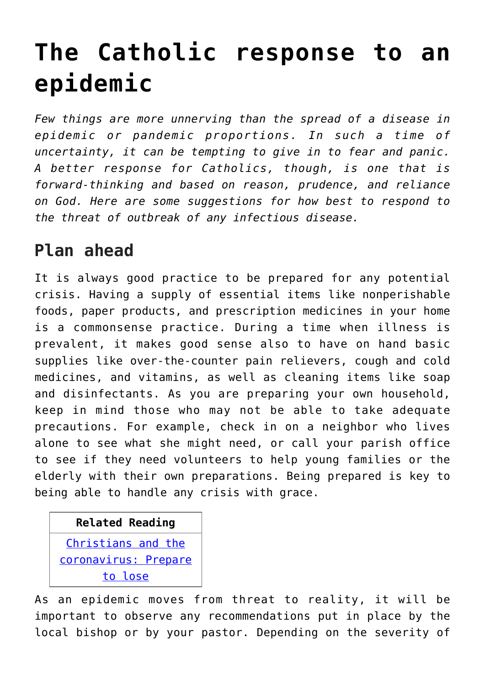# **[The Catholic response to an](https://www.osvnews.com/2020/03/18/faith-and-common-sense/) [epidemic](https://www.osvnews.com/2020/03/18/faith-and-common-sense/)**

*Few things are more unnerving than the spread of a disease in epidemic or pandemic proportions. In such a time of uncertainty, it can be tempting to give in to fear and panic. A better response for Catholics, though, is one that is forward-thinking and based on reason, prudence, and reliance on God. Here are some suggestions for how best to respond to the threat of outbreak of any infectious disease.*

# **Plan ahead**

It is always good practice to be prepared for any potential crisis. Having a supply of essential items like nonperishable foods, paper products, and prescription medicines in your home is a commonsense practice. During a time when illness is prevalent, it makes good sense also to have on hand basic supplies like over-the-counter pain relievers, cough and cold medicines, and vitamins, as well as cleaning items like soap and disinfectants. As you are preparing your own household, keep in mind those who may not be able to take adequate precautions. For example, check in on a neighbor who lives alone to see what she might need, or call your parish office to see if they need volunteers to help young families or the elderly with their own preparations. Being prepared is key to being able to handle any crisis with grace.

## **Related Reading** [Christians and the](https://www.osvnews.com/2020/03/13/christians-and-the-coronavirus-prepare-to-lose/)

[coronavirus: Prepare](https://www.osvnews.com/2020/03/13/christians-and-the-coronavirus-prepare-to-lose/) [to lose](https://www.osvnews.com/2020/03/13/christians-and-the-coronavirus-prepare-to-lose/)

As an epidemic moves from threat to reality, it will be important to observe any recommendations put in place by the local bishop or by your pastor. Depending on the severity of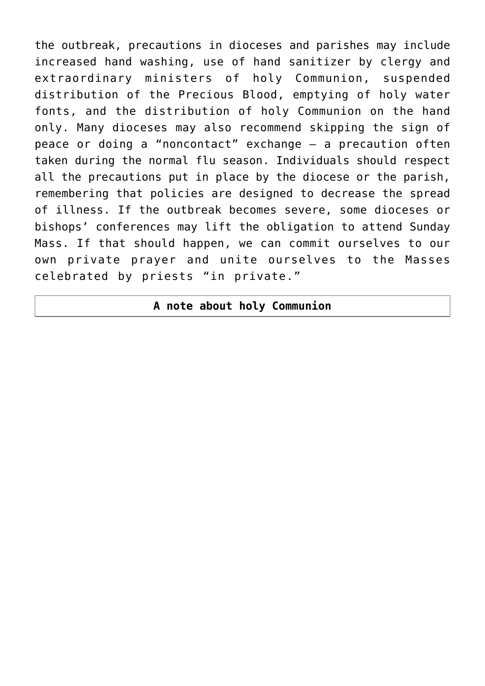the outbreak, precautions in dioceses and parishes may include increased hand washing, use of hand sanitizer by clergy and extraordinary ministers of holy Communion, suspended distribution of the Precious Blood, emptying of holy water fonts, and the distribution of holy Communion on the hand only. Many dioceses may also recommend skipping the sign of peace or doing a "noncontact" exchange — a precaution often taken during the normal flu season. Individuals should respect all the precautions put in place by the diocese or the parish, remembering that policies are designed to decrease the spread of illness. If the outbreak becomes severe, some dioceses or bishops' conferences may lift the obligation to attend Sunday Mass. If that should happen, we can commit ourselves to our own private prayer and unite ourselves to the Masses celebrated by priests "in private."

#### **A note about holy Communion**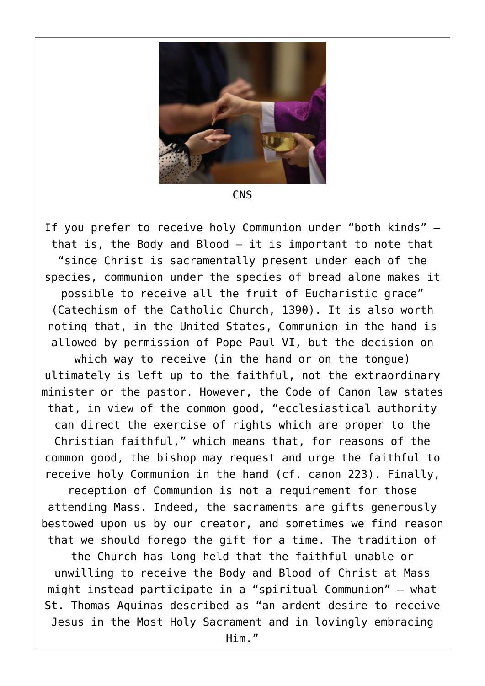

**CNS** 

If you prefer to receive holy Communion under "both kinds" that is, the Body and Blood — it is important to note that "since Christ is sacramentally present under each of the species, communion under the species of bread alone makes it possible to receive all the fruit of Eucharistic grace" (Catechism of the Catholic Church, 1390). It is also worth noting that, in the United States, Communion in the hand is allowed by permission of Pope Paul VI, but the decision on which way to receive (in the hand or on the tongue) ultimately is left up to the faithful, not the extraordinary minister or the pastor. However, the Code of Canon law states that, in view of the common good, "ecclesiastical authority can direct the exercise of rights which are proper to the Christian faithful," which means that, for reasons of the common good, the bishop may request and urge the faithful to receive holy Communion in the hand (cf. canon 223). Finally, reception of Communion is not a requirement for those attending Mass. Indeed, the sacraments are gifts generously bestowed upon us by our creator, and sometimes we find reason that we should forego the gift for a time. The tradition of the Church has long held that the faithful unable or unwilling to receive the Body and Blood of Christ at Mass might instead participate in a "spiritual Communion" — what St. Thomas Aquinas described as "an ardent desire to receive Jesus in the Most Holy Sacrament and in lovingly embracing

Him."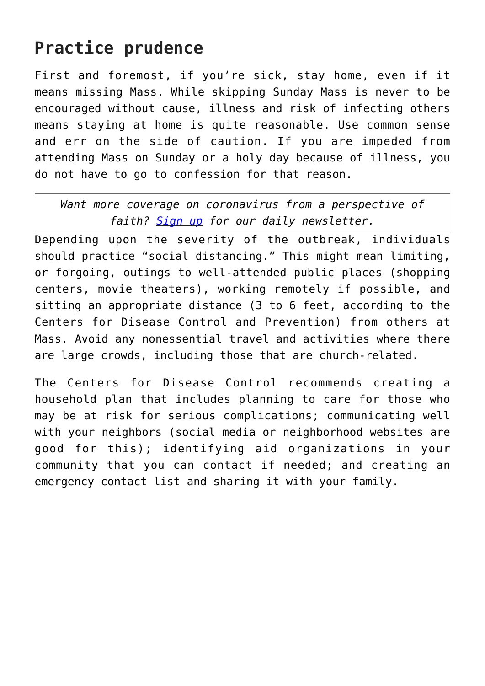# **Practice prudence**

First and foremost, if you're sick, stay home, even if it means missing Mass. While skipping Sunday Mass is never to be encouraged without cause, illness and risk of infecting others means staying at home is quite reasonable. Use common sense and err on the side of caution. If you are impeded from attending Mass on Sunday or a holy day because of illness, you do not have to go to confession for that reason.

*Want more coverage on coronavirus from a perspective of faith? [Sign up](https://reply.osv.com/covid-19) for our daily newsletter.*

Depending upon the severity of the outbreak, individuals should practice "social distancing." This might mean limiting, or forgoing, outings to well-attended public places (shopping centers, movie theaters), working remotely if possible, and sitting an appropriate distance (3 to 6 feet, according to the Centers for Disease Control and Prevention) from others at Mass. Avoid any nonessential travel and activities where there are large crowds, including those that are church-related.

The Centers for Disease Control recommends creating a household plan that includes planning to care for those who may be at risk for serious complications; communicating well with your neighbors (social media or neighborhood websites are good for this); identifying aid organizations in your community that you can contact if needed; and creating an emergency contact list and sharing it with your family.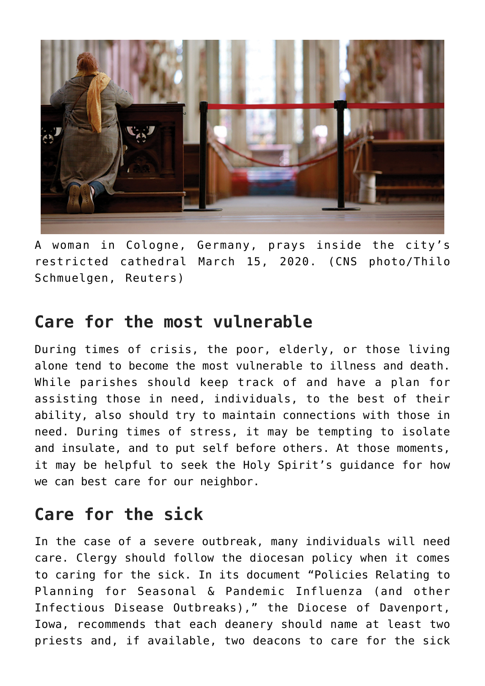

A woman in Cologne, Germany, prays inside the city's restricted cathedral March 15, 2020. (CNS photo/Thilo Schmuelgen, Reuters)

### **Care for the most vulnerable**

During times of crisis, the poor, elderly, or those living alone tend to become the most vulnerable to illness and death. While parishes should keep track of and have a plan for assisting those in need, individuals, to the best of their ability, also should try to maintain connections with those in need. During times of stress, it may be tempting to isolate and insulate, and to put self before others. At those moments, it may be helpful to seek the Holy Spirit's guidance for how we can best care for our neighbor.

## **Care for the sick**

In the case of a severe outbreak, many individuals will need care. Clergy should follow the diocesan policy when it comes to caring for the sick. In its document "Policies Relating to Planning for Seasonal & Pandemic Influenza (and other Infectious Disease Outbreaks)," the Diocese of Davenport, Iowa, recommends that each deanery should name at least two priests and, if available, two deacons to care for the sick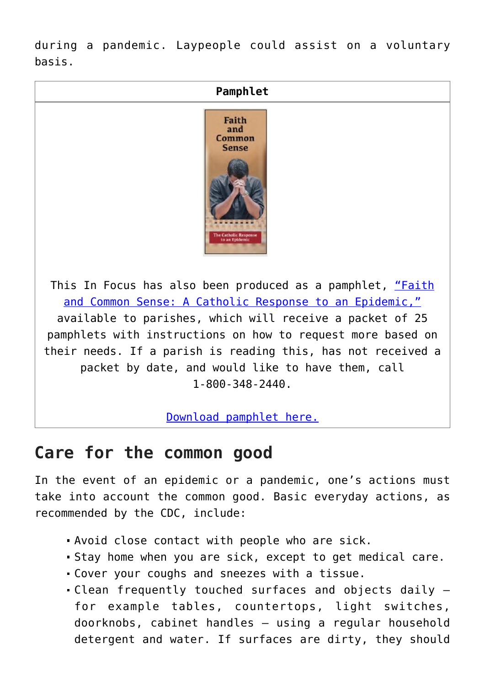during a pandemic. Laypeople could assist on a voluntary basis.



[Download pamphlet here.](https://www.osvnews.com/wp-content/uploads/2020/03/Epidemic-Response.pdf)

#### **Care for the common good**

In the event of an epidemic or a pandemic, one's actions must take into account the common good. Basic everyday actions, as recommended by the CDC, include:

- Avoid close contact with people who are sick.
- Stay home when you are sick, except to get medical care.
- Cover your coughs and sneezes with a tissue.
- Clean frequently touched surfaces and objects daily for example tables, countertops, light switches, doorknobs, cabinet handles — using a regular household detergent and water. If surfaces are dirty, they should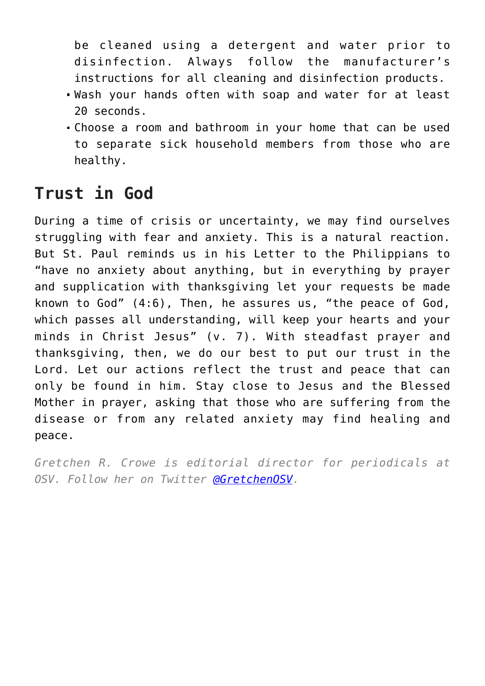be cleaned using a detergent and water prior to disinfection. Always follow the manufacturer's instructions for all cleaning and disinfection products.

- Wash your hands often with soap and water for at least 20 seconds.
- Choose a room and bathroom in your home that can be used to separate sick household members from those who are healthy.

# **Trust in God**

During a time of crisis or uncertainty, we may find ourselves struggling with fear and anxiety. This is a natural reaction. But St. Paul reminds us in his Letter to the Philippians to "have no anxiety about anything, but in everything by prayer and supplication with thanksgiving let your requests be made known to God" (4:6), Then, he assures us, "the peace of God, which passes all understanding, will keep your hearts and your minds in Christ Jesus" (v. 7). With steadfast prayer and thanksgiving, then, we do our best to put our trust in the Lord. Let our actions reflect the trust and peace that can only be found in him. Stay close to Jesus and the Blessed Mother in prayer, asking that those who are suffering from the disease or from any related anxiety may find healing and peace.

*Gretchen R. Crowe is editorial director for periodicals at OSV. Follow her on Twitter [@GretchenOSV](http://www.twitter.com/@GretchenOSV).*